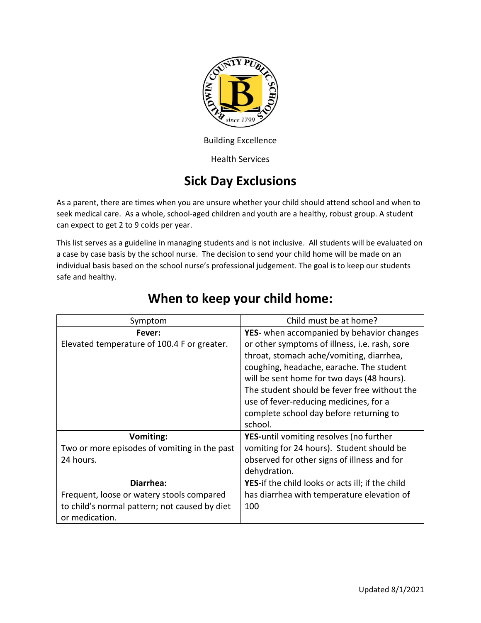

Building Excellence

Health Services

## **Sick Day Exclusions**

As a parent, there are times when you are unsure whether your child should attend school and when to seek medical care. As a whole, school-aged children and youth are a healthy, robust group. A student can expect to get 2 to 9 colds per year.

This list serves as a guideline in managing students and is not inclusive. All students will be evaluated on a case by case basis by the school nurse. The decision to send your child home will be made on an individual basis based on the school nurse's professional judgement. The goal is to keep our students safe and healthy.

| Symptom                                       | Child must be at home?                           |
|-----------------------------------------------|--------------------------------------------------|
| Fever:                                        | YES- when accompanied by behavior changes        |
| Elevated temperature of 100.4 F or greater.   | or other symptoms of illness, i.e. rash, sore    |
|                                               | throat, stomach ache/vomiting, diarrhea,         |
|                                               | coughing, headache, earache. The student         |
|                                               | will be sent home for two days (48 hours).       |
|                                               | The student should be fever free without the     |
|                                               | use of fever-reducing medicines, for a           |
|                                               | complete school day before returning to          |
|                                               | school.                                          |
| Vomiting:                                     | <b>YES-until vomiting resolves (no further</b>   |
| Two or more episodes of vomiting in the past  | vomiting for 24 hours). Student should be        |
| 24 hours.                                     | observed for other signs of illness and for      |
|                                               | dehydration.                                     |
| Diarrhea:                                     | YES-if the child looks or acts ill; if the child |
| Frequent, loose or watery stools compared     | has diarrhea with temperature elevation of       |
| to child's normal pattern; not caused by diet | 100                                              |
| or medication.                                |                                                  |

## **When to keep your child home:**